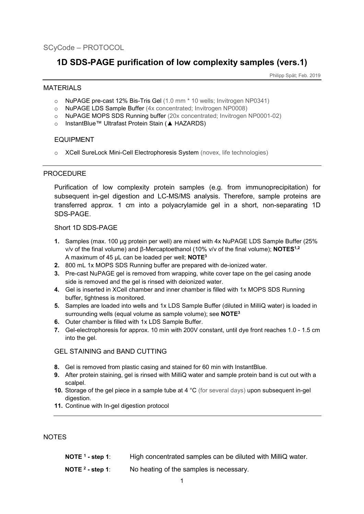# **1D SDS-PAGE purification of low complexity samples (vers.1)**

Philipp Spät; Feb. 2019

### **MATFRIALS**

- o NuPAGE pre-cast 12% Bis-Tris Gel (1.0 mm \* 10 wells; Invitrogen NP0341)
- o NuPAGE LDS Sample Buffer (4x concentrated; Invitrogen NP0008)
- o NuPAGE MOPS SDS Running buffer (20x concentrated; Invitrogen NP0001-02)
- o InstantBlue™ Ultrafast Protein Stain (**▲** HAZARDS)

### EQUIPMENT

o XCell SureLock Mini-Cell Electrophoresis System (novex, life technologies)

### **PROCEDURE**

Purification of low complexity protein samples (e.g. from immunoprecipitation) for subsequent in-gel digestion and LC-MS/MS analysis. Therefore, sample proteins are transferred approx. 1 cm into a polyacrylamide gel in a short, non-separating 1D SDS-PAGE.

### Short 1D SDS-PAGE

- **1.** Samples (max. 100 µg protein per well) are mixed with 4x NuPAGE LDS Sample Buffer (25% v/v of the final volume) and β-Mercaptoethanol (10% v/v of the final volume); **NOTES1,2** A maximum of 45 µL can be loaded per well; **NOTE3**
- **2.** 800 mL 1x MOPS SDS Running buffer are prepared with de-ionized water.
- **3.** Pre-cast NuPAGE gel is removed from wrapping, white cover tape on the gel casing anode side is removed and the gel is rinsed with deionized water.
- **4.** Gel is inserted in XCell chamber and inner chamber is filled with 1x MOPS SDS Running buffer, tightness is monitored.
- **5.** Samples are loaded into wells and 1x LDS Sample Buffer (diluted in MilliQ water) is loaded in surrounding wells (equal volume as sample volume); see **NOTE3**
- **6.** Outer chamber is filled with 1x LDS Sample Buffer.
- **7.** Gel-electrophoresis for approx. 10 min with 200V constant, until dye front reaches 1.0 1.5 cm into the gel.

## GEL STAINING and BAND CUTTING

- **8.** Gel is removed from plastic casing and stained for 60 min with InstantBlue.
- **9.** After protein staining, gel is rinsed with MilliQ water and sample protein band is cut out with a scalpel.
- **10.** Storage of the gel piece in a sample tube at 4 °C (for several days) upon subsequent in-gel digestion.
- **11.** Continue with In-gel digestion protocol

## NOTES

**NOTE 1 - step 1**: High concentrated samples can be diluted with MilliQ water. **NOTE 2 - step 1**: No heating of the samples is necessary.